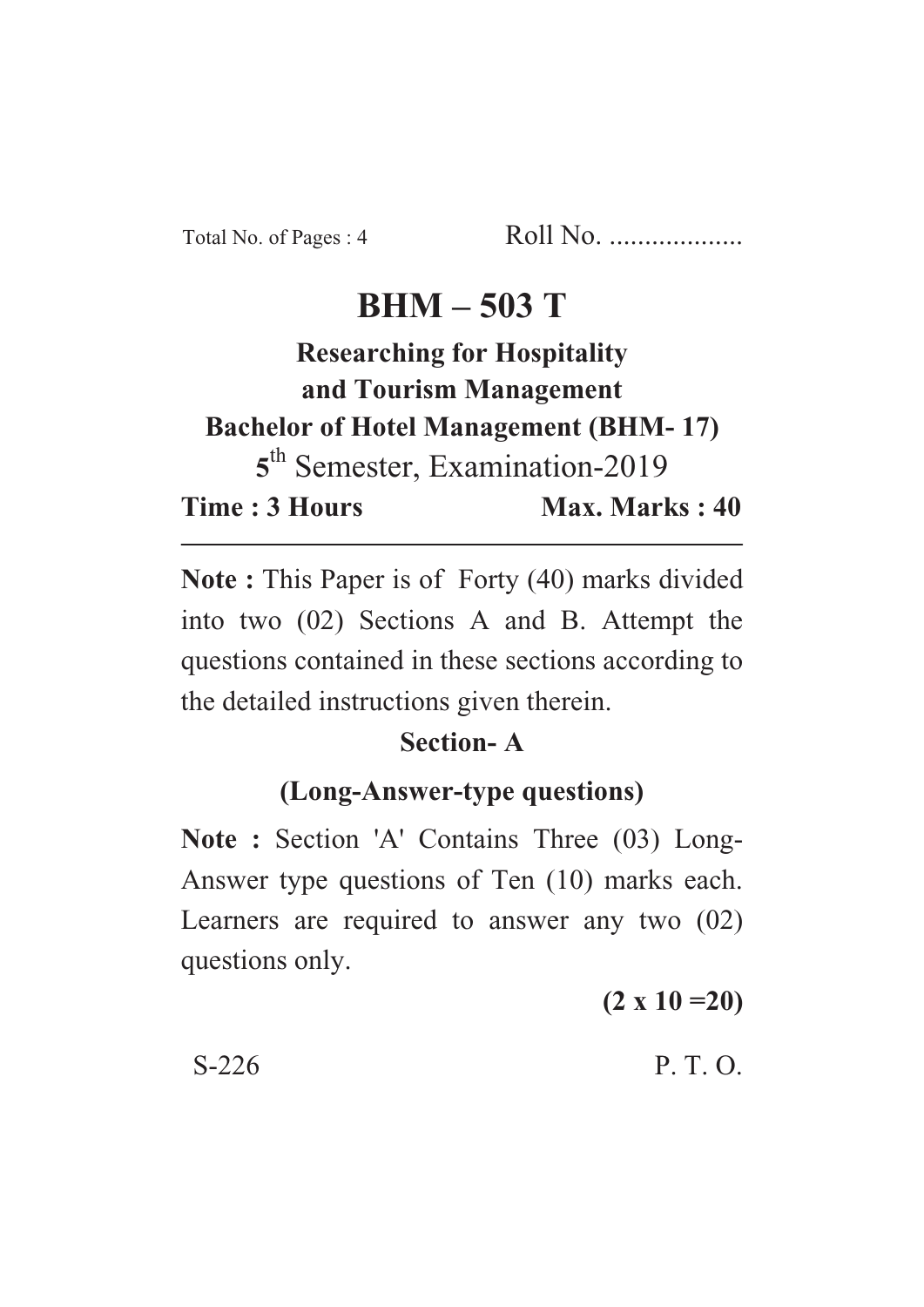Total No. of Pages : 4 Roll No. ...................

# **BHM – 503 T**

# **Researching for Hospitality and Tourism Management Bachelor of Hotel Management (BHM- 17) 5** th Semester, Examination-2019 **Time : 3 Hours Max. Marks : 40**

**Note :** This Paper is of Forty (40) marks divided into two (02) Sections A and B. Attempt the questions contained in these sections according to the detailed instructions given therein.

#### **Section- A**

# **(Long-Answer-type questions)**

**Note :** Section 'A' Contains Three (03) Long-Answer type questions of Ten (10) marks each. Learners are required to answer any two (02) questions only.

**(2 x 10 =20)**

 $S-226$  P. T. O.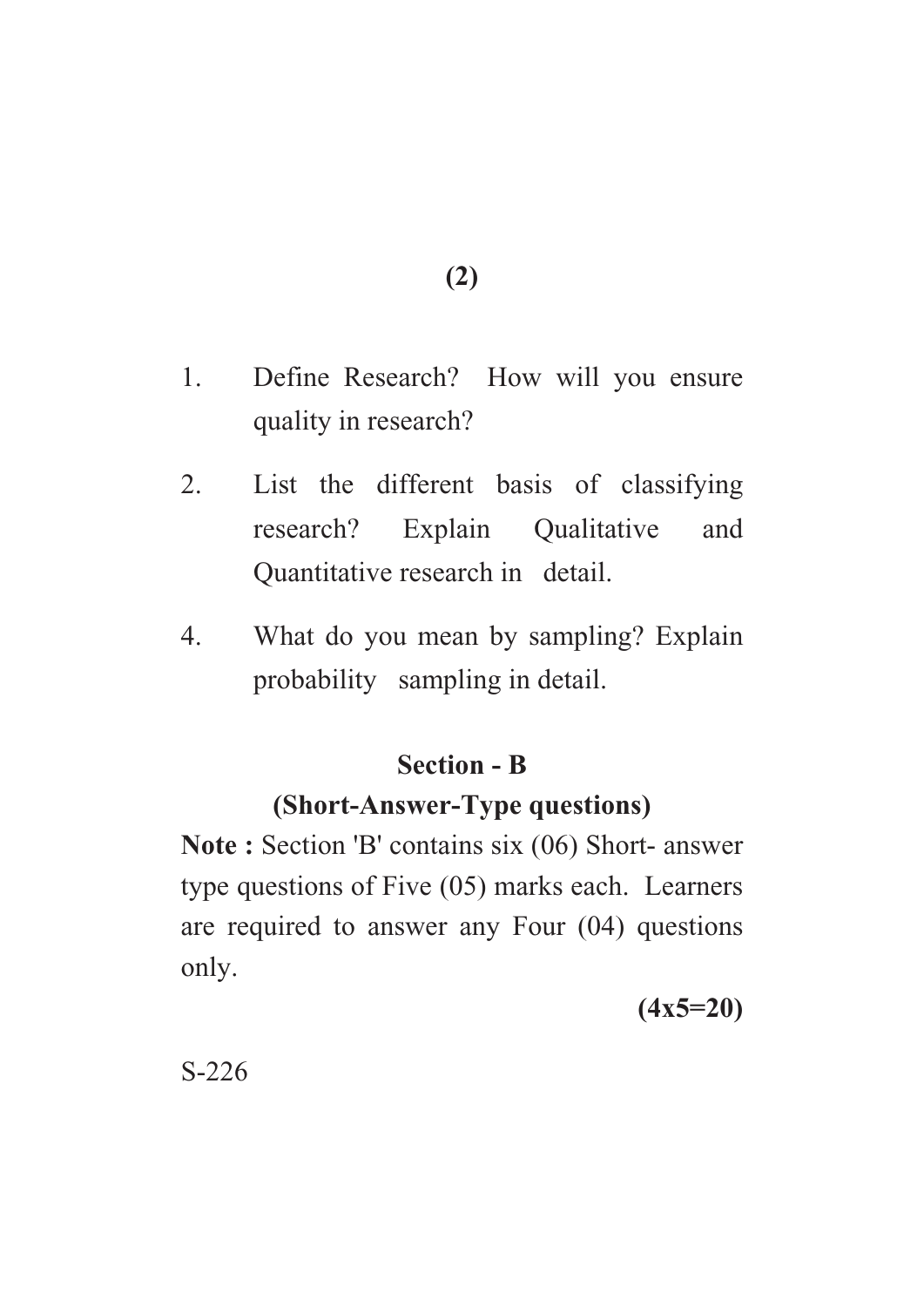**(2)**

- 1. Define Research? How will you ensure quality in research?
- 2. List the different basis of classifying research? Explain Qualitative and Quantitative research in detail.
- 4. What do you mean by sampling? Explain probability sampling in detail.

### **Section - B**

### **(Short-Answer-Type questions)**

**Note :** Section 'B' contains six (06) Short- answer type questions of Five (05) marks each. Learners are required to answer any Four (04) questions only.

**(4x5=20)**

S-226